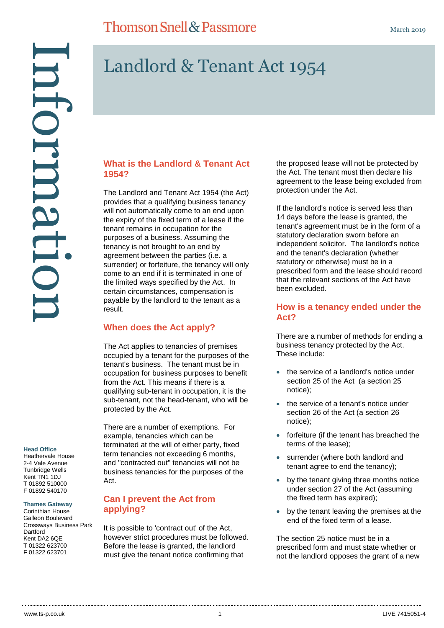# Landlord & Tenant Act 1954

#### **What is the Landlord & Tenant Act 1954?**

The Landlord and Tenant Act 1954 (the Act) provides that a qualifying business tenancy will not automatically come to an end upon the expiry of the fixed term of a lease if the tenant remains in occupation for the purposes of a business. Assuming the tenancy is not brought to an end by agreement between the parties (i.e. a surrender) or forfeiture, the tenancy will only come to an end if it is terminated in one of the limited ways specified by the Act. In certain circumstances, compensation is payable by the landlord to the tenant as a result.

### **When does the Act apply?**

The Act applies to tenancies of premises occupied by a tenant for the purposes of the tenant's business. The tenant must be in occupation for business purposes to benefit from the Act. This means if there is a qualifying sub-tenant in occupation, it is the sub-tenant, not the head-tenant, who will be protected by the Act.

There are a number of exemptions. For example, tenancies which can be terminated at the will of either party, fixed term tenancies not exceeding 6 months, and "contracted out" tenancies will not be business tenancies for the purposes of the Act.

#### **Thames Gateway**

**Head Office** Heathervale House 2-4 Vale Avenue Tunbridge Wells Kent TN1 1DJ T 01892 510000 F 01892 540170

Corinthian House Galleon Boulevard Crossways Business Park **Dartford** Kent DA2 6QE T 01322 623700 F 01322 623701

#### **Can I prevent the Act from applying?**

It is possible to 'contract out' of the Act, however strict procedures must be followed. Before the lease is granted, the landlord must give the tenant notice confirming that

the proposed lease will not be protected by the Act. The tenant must then declare his agreement to the lease being excluded from protection under the Act.

If the landlord's notice is served less than 14 days before the lease is granted, the tenant's agreement must be in the form of a statutory declaration sworn before an independent solicitor. The landlord's notice and the tenant's declaration (whether statutory or otherwise) must be in a prescribed form and the lease should record that the relevant sections of the Act have been excluded.

#### **How is a tenancy ended under the Act?**

There are a number of methods for ending a business tenancy protected by the Act. These include:

- the service of a landlord's notice under section 25 of the Act (a section 25 notice);
- the service of a tenant's notice under section 26 of the Act (a section 26 notice);
- forfeiture (if the tenant has breached the terms of the lease);
- surrender (where both landlord and tenant agree to end the tenancy);
- by the tenant giving three months notice under section 27 of the Act (assuming the fixed term has expired);
- by the tenant leaving the premises at the end of the fixed term of a lease.

The section 25 notice must be in a prescribed form and must state whether or not the landlord opposes the grant of a new